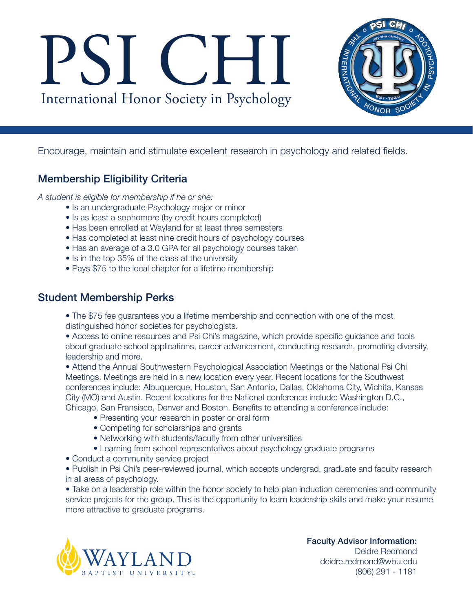# PSI CHI International Honor Society in Psychology



Encourage, maintain and stimulate excellent research in psychology and related fields.

## Membership Eligibility Criteria

*A student is eligible for membership if he or she:*

- Is an undergraduate Psychology major or minor
- Is as least a sophomore (by credit hours completed)
- Has been enrolled at Wayland for at least three semesters
- Has completed at least nine credit hours of psychology courses
- Has an average of a 3.0 GPA for all psychology courses taken
- Is in the top 35% of the class at the university
- Pays \$75 to the local chapter for a lifetime membership

## Student Membership Perks

• The \$75 fee guarantees you a lifetime membership and connection with one of the most distinguished honor societies for psychologists.

• Access to online resources and Psi Chi's magazine, which provide specific guidance and tools about graduate school applications, career advancement, conducting research, promoting diversity, leadership and more.

• Attend the Annual Southwestern Psychological Association Meetings or the National Psi Chi Meetings. Meetings are held in a new location every year. Recent locations for the Southwest conferences include: Albuquerque, Houston, San Antonio, Dallas, Oklahoma City, Wichita, Kansas City (MO) and Austin. Recent locations for the National conference include: Washington D.C., Chicago, San Fransisco, Denver and Boston. Benefits to attending a conference include:

- Presenting your research in poster or oral form
- Competing for scholarships and grants
- Networking with students/faculty from other universities
- Learning from school representatives about psychology graduate programs
- Conduct a community service project

• Publish in Psi Chi's peer-reviewed journal, which accepts undergrad, graduate and faculty research in all areas of psychology.

• Take on a leadership role within the honor society to help plan induction ceremonies and community service projects for the group. This is the opportunity to learn leadership skills and make your resume more attractive to graduate programs.



Faculty Advisor Information: Deidre Redmond deidre.redmond@wbu.edu (806) 291 - 1181